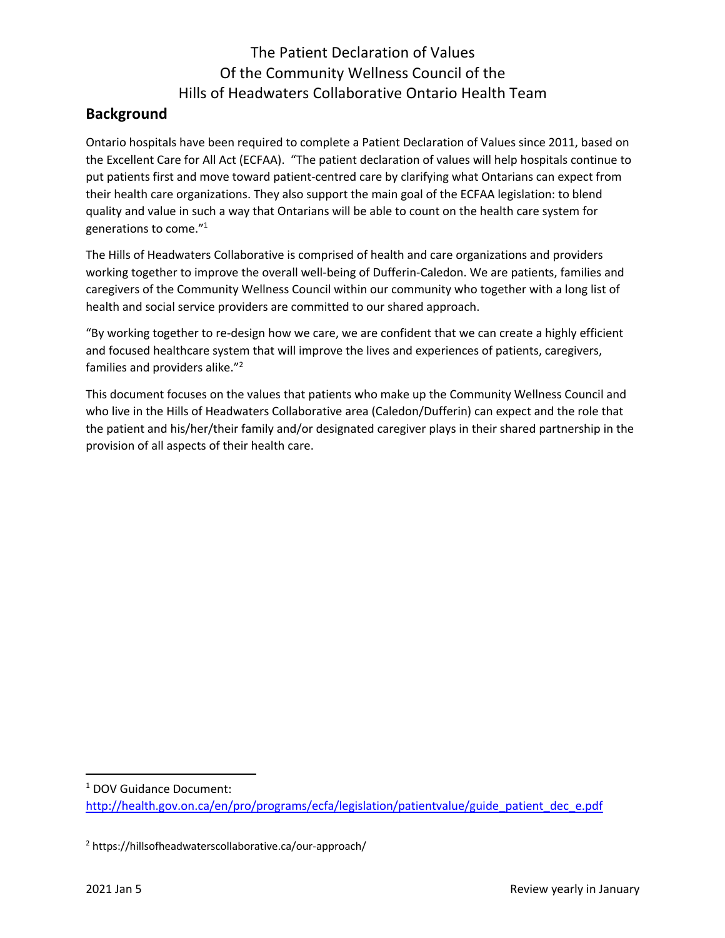# The Patient Declaration of Values Of the Community Wellness Council of the Hills of Headwaters Collaborative Ontario Health Team

## **Background**

Ontario hospitals have been required to complete a Patient Declaration of Values since 2011, based on the Excellent Care for All Act (ECFAA). "The patient declaration of values will help hospitals continue to put patients first and move toward patient-centred care by clarifying what Ontarians can expect from their health care organizations. They also support the main goal of the ECFAA legislation: to blend quality and value in such a way that Ontarians will be able to count on the health care system for generations to come."1

The Hills of Headwaters Collaborative is comprised of health and care organizations and providers working together to improve the overall well-being of Dufferin-Caledon. We are patients, families and caregivers of the Community Wellness Council within our community who together with a long list of health and social service providers are committed to our shared approach.

"By working together to re-design how we care, we are confident that we can create a highly efficient and focused healthcare system that will improve the lives and experiences of patients, caregivers, families and providers alike."2

This document focuses on the values that patients who make up the Community Wellness Council and who live in the Hills of Headwaters Collaborative area (Caledon/Dufferin) can expect and the role that the patient and his/her/their family and/or designated caregiver plays in their shared partnership in the provision of all aspects of their health care.

<sup>1</sup> DOV Guidance Document: http://health.gov.on.ca/en/pro/programs/ecfa/legislation/patientvalue/guide\_patient\_dec\_e.pdf

<sup>2</sup> https://hillsofheadwaterscollaborative.ca/our-approach/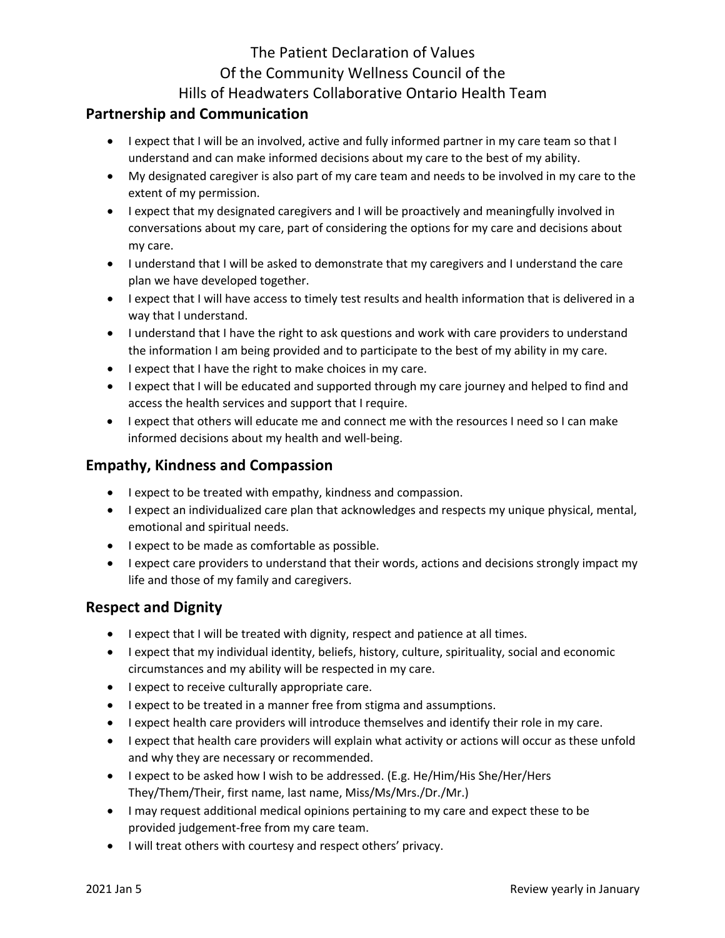# The Patient Declaration of Values Of the Community Wellness Council of the Hills of Headwaters Collaborative Ontario Health Team

## **Partnership and Communication**

- I expect that I will be an involved, active and fully informed partner in my care team so that I understand and can make informed decisions about my care to the best of my ability.
- My designated caregiver is also part of my care team and needs to be involved in my care to the extent of my permission.
- I expect that my designated caregivers and I will be proactively and meaningfully involved in conversations about my care, part of considering the options for my care and decisions about my care.
- I understand that I will be asked to demonstrate that my caregivers and I understand the care plan we have developed together.
- I expect that I will have access to timely test results and health information that is delivered in a way that I understand.
- I understand that I have the right to ask questions and work with care providers to understand the information I am being provided and to participate to the best of my ability in my care.
- I expect that I have the right to make choices in my care.
- I expect that I will be educated and supported through my care journey and helped to find and access the health services and support that I require.
- I expect that others will educate me and connect me with the resources I need so I can make informed decisions about my health and well-being.

#### **Empathy, Kindness and Compassion**

- I expect to be treated with empathy, kindness and compassion.
- I expect an individualized care plan that acknowledges and respects my unique physical, mental, emotional and spiritual needs.
- I expect to be made as comfortable as possible.
- I expect care providers to understand that their words, actions and decisions strongly impact my life and those of my family and caregivers.

#### **Respect and Dignity**

- I expect that I will be treated with dignity, respect and patience at all times.
- I expect that my individual identity, beliefs, history, culture, spirituality, social and economic circumstances and my ability will be respected in my care.
- I expect to receive culturally appropriate care.
- I expect to be treated in a manner free from stigma and assumptions.
- I expect health care providers will introduce themselves and identify their role in my care.
- I expect that health care providers will explain what activity or actions will occur as these unfold and why they are necessary or recommended.
- I expect to be asked how I wish to be addressed. (E.g. He/Him/His She/Her/Hers They/Them/Their, first name, last name, Miss/Ms/Mrs./Dr./Mr.)
- I may request additional medical opinions pertaining to my care and expect these to be provided judgement-free from my care team.
- I will treat others with courtesy and respect others' privacy.